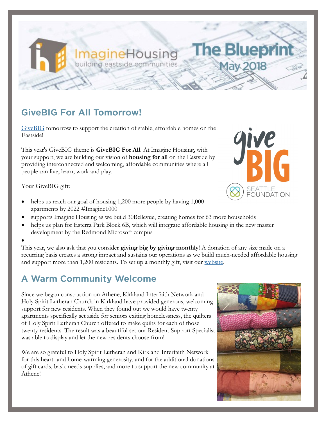## **GiveBIG For All Tomorrow!**

[GiveBIG](https://www.givebigseattle.org/index.php?section=organizations&action=newDonation_org&fwID=504) tomorrow to support the creation of stable, affordable homes on the Eastside!

agineHousing

puilding eastside communities

This year's GiveBIG theme is **GiveBIG For All**. At Imagine Housing, with your support, we are building our vision of **housing for all** on the Eastside by providing interconnected and welcoming, affordable communities where all people can live, learn, work and play.

Your GiveBIG gift:

 $\bullet$ 

- helps us reach our goal of housing 1,200 more people by having 1,000 apartments by 2022 #Imagine1000
- supports Imagine Housing as we build 30Bellevue, creating homes for 63 more households
- helps us plan for Esterra Park Block 6B, which will integrate affordable housing in the new master development by the Redmond Microsoft campus

This year, we also ask that you consider **giving big by giving monthly**! A donation of any size made on a recurring basis creates a strong impact and sustains our operations as we build much-needed affordable housing and support more than 1,200 residents. To set up a monthly gift, visit our [website.](https://imaginehousing.org/get-involved/donate/monthly-giving-program/)

### **A Warm Community Welcome**

Since we began construction on Athene, Kirkland Interfaith Network and Holy Spirit Lutheran Church in Kirkland have provided generous, welcoming support for new residents. When they found out we would have twenty apartments specifically set aside for seniors exiting homelessness, the quilters of Holy Spirit Lutheran Church offered to make quilts for each of those twenty residents. The result was a beautiful set our Resident Support Specialist was able to display and let the new residents choose from!

We are so grateful to Holy Spirit Lutheran and Kirkland Interfaith Network for this heart- and home-warming generosity, and for the additional donations of gift cards, basic needs supplies, and more to support the new community at Athene!





**The Bluepr** 

lay 201